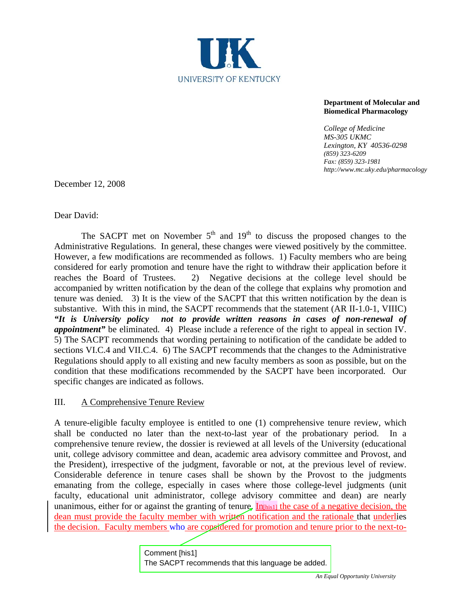

## **Department of Molecular and Biomedical Pharmacology**

*College of Medicine MS-305 UKMC Lexington, KY 40536-0298 (859) 323-6209 Fax: (859) 323-1981 http://www.mc.uky.edu/pharmacology* 

December 12, 2008

Dear David:

The SACPT met on November  $5<sup>th</sup>$  and  $19<sup>th</sup>$  to discuss the proposed changes to the Administrative Regulations. In general, these changes were viewed positively by the committee. However, a few modifications are recommended as follows. 1) Faculty members who are being considered for early promotion and tenure have the right to withdraw their application before it reaches the Board of Trustees. 2) Negative decisions at the college level should be accompanied by written notification by the dean of the college that explains why promotion and tenure was denied. 3) It is the view of the SACPT that this written notification by the dean is substantive. With this in mind, the SACPT recommends that the statement (AR II-1.0-1, VIIIC) *"It is University policy not to provide written reasons in cases of non-renewal of appointment"* be eliminated. 4) Please include a reference of the right to appeal in section IV. 5) The SACPT recommends that wording pertaining to notification of the candidate be added to sections VI.C.4 and VII.C.4. 6) The SACPT recommends that the changes to the Administrative Regulations should apply to all existing and new faculty members as soon as possible, but on the condition that these modifications recommended by the SACPT have been incorporated. Our specific changes are indicated as follows.

III. A Comprehensive Tenure Review

A tenure-eligible faculty employee is entitled to one (1) comprehensive tenure review, which shall be conducted no later than the next-to-last year of the probationary period. In a comprehensive tenure review, the dossier is reviewed at all levels of the University (educational unit, college advisory committee and dean, academic area advisory committee and Provost, and the President), irrespective of the judgment, favorable or not, at the previous level of review. Considerable deference in tenure cases shall be shown by the Provost to the judgments emanating from the college, especially in cases where those college-level judgments (unit faculty, educational unit administrator, college advisory committee and dean) are nearly unanimous, either for or against the granting of tenure. In  $\ln|\sin \theta|$  the case of a negative decision, the dean must provide the faculty member with written notification and the rationale that underlies the decision. Faculty members who are considered for promotion and tenure prior to the next-to-

> Comment [his1] The SACPT recommends that this language be added.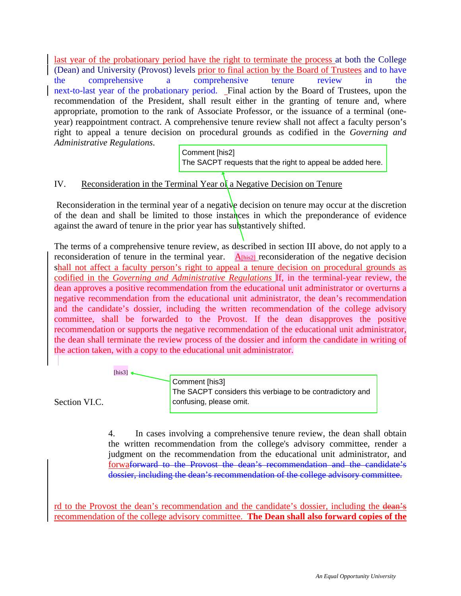last year of the probationary period have the right to terminate the process at both the College (Dean) and University (Provost) levels prior to final action by the Board of Trustees and to have the comprehensive a comprehensive tenure review in the next-to-last year of the probationary period. Final action by the Board of Trustees, upon the recommendation of the President, shall result either in the granting of tenure and, where appropriate, promotion to the rank of Associate Professor, or the issuance of a terminal (oneyear) reappointment contract. A comprehensive tenure review shall not affect a faculty person's right to appeal a tenure decision on procedural grounds as codified in the *Governing and Administrative Regulations*.

Comment [his2] The SACPT requests that the right to appeal be added here.

## IV. Reconsideration in the Terminal Year of a Negative Decision on Tenure

Reconsideration in the terminal year of a negative decision on tenure may occur at the discretion of the dean and shall be limited to those instances in which the preponderance of evidence against the award of tenure in the prior year has substantively shifted.

The terms of a comprehensive tenure review, as described in section III above, do not apply to a reconsideration of tenure in the terminal year.  $A_{\text{[his2]}}$  reconsideration of the negative decision shall not affect a faculty person's right to appeal a tenure decision on procedural grounds as codified in the *Governing and Administrative Regulations* If, in the terminal-year review, the dean approves a positive recommendation from the educational unit administrator or overturns a negative recommendation from the educational unit administrator, the dean's recommendation and the candidate's dossier, including the written recommendation of the college advisory committee, shall be forwarded to the Provost. If the dean disapproves the positive recommendation or supports the negative recommendation of the educational unit administrator, the dean shall terminate the review process of the dossier and inform the candidate in writing of the action taken, with a copy to the educational unit administrator.

 $[his3] \triangleleft$ 

Section VI.C.

Comment [his3] The SACPT considers this verbiage to be contradictory and confusing, please omit.

4. In cases involving a comprehensive tenure review, the dean shall obtain the written recommendation from the college's advisory committee, render a judgment on the recommendation from the educational unit administrator, and forwaforward to the Provost the dean's recommendation and the candidate's dossier, including the dean's recommendation of the college advisory committee.

rd to the Provost the dean's recommendation and the candidate's dossier, including the dean's recommendation of the college advisory committee. **The Dean shall also forward copies of the**